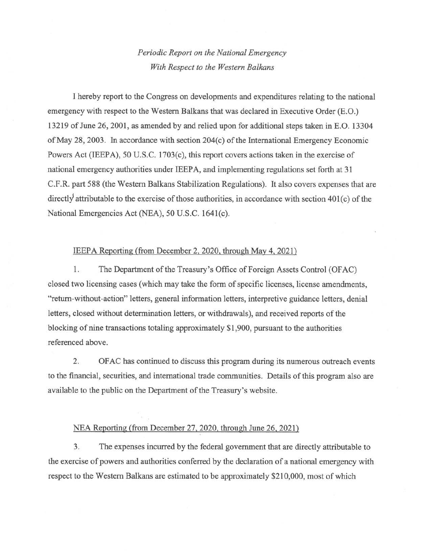## *Periodic Report on the National Emergency With Respect to the Western Balkans*

I hereby report to the Congress on developments and expenditures relating to the national emergency with respect to the Western Balkans that was declared in Executive Order (E.O.) 13219 of June 26, 2001, as amended by and relied upon for additional steps taken in E.O. 13304 ofMay 28, 2003. In accordance with section 204(c) of the International Emergency Economic Powers Act (IEEPA), 50 U.S.C. 1703(c), this report covers actions taken in the exercise of national emergency authorities under IEEPA, and implementing regulations set forth at 31 C.F.R. part 588 (the Western Balkans Stabilization Regulations). It also covers expenses that are directly attributable to the exercise of those authorities, in accordance with section 401(c) of the National Emergencies Act (NEA), 50 U.S.C. 1641(c).

## IEEPA Reporting (from December 2, 2020, through May 4, 2021)

1. The Department of the Treasury's Office of Foreign Assets Control (OFAC) closed two licensing cases (which may take the form of specific licenses, license amendments, "return-without-action" letters, general information letters, interpretive guidance letters, denial letters, closed without determination letters, or withdrawals), and received reports of the blocking of nine transactions totaling approximately \$1,900, pursuant to the authorities referenced above.

2. OF AC has continued to discuss this program during its numerous outreach events to the fmancial, securities, and international trade communities. Details of this program also are available to the public on the Department of the Treasury's website.

## NEA Reporting (from December 27, 2020, through June 26, 2021)

3. The expenses incurred by the federal government that are directly attributable to the exercise of powers and authorities conferred by the declaration of a national emergency with respect to the Western Balkans are estimated to be approximately \$210,000, most of which